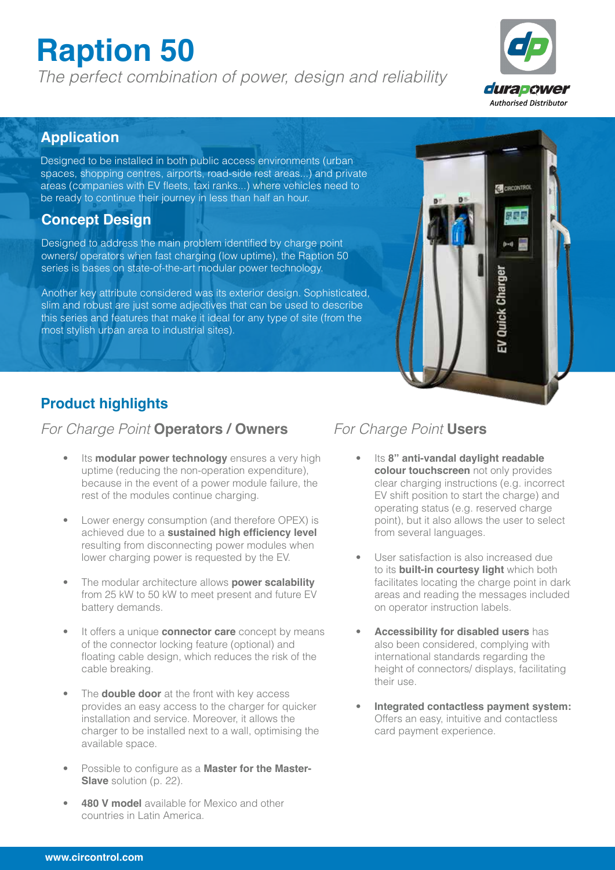# **Raption 50**

*The perfect combination of power, design and reliability*



#### **Application**

Designed to be installed in both public access environments (urban spaces, shopping centres, airports, road-side rest areas...) and private areas (companies with EV fleets, taxi ranks...) where vehicles need to be ready to continue their journey in less than half an hour.

#### **Concept Design**

Designed to address the main problem identified by charge point owners/ operators when fast charging (low uptime), the Raption 50 series is bases on state-of-the-art modular power technology.

Another key attribute considered was its exterior design. Sophisticated, slim and robust are just some adjectives that can be used to describe this series and features that make it ideal for any type of site (from the most stylish urban area to industrial sites).



#### **Product highlights**

#### *For Charge Point* **Operators / Owners** *For Charge Point* **Users**

- Its **modular power technology** ensures a very high uptime (reducing the non-operation expenditure), because in the event of a power module failure, the rest of the modules continue charging.
- Lower energy consumption (and therefore OPEX) is achieved due to a **sustained high efficiency level** resulting from disconnecting power modules when lower charging power is requested by the EV.
- The modular architecture allows **power scalability** from 25 kW to 50 kW to meet present and future EV battery demands.
- It offers a unique **connector care** concept by means of the connector locking feature (optional) and floating cable design, which reduces the risk of the cable breaking.
- The **double door** at the front with key access provides an easy access to the charger for quicker installation and service. Moreover, it allows the charger to be installed next to a wall, optimising the available space.
- Possible to configure as a **Master for the Master-Slave** solution (p. 22).
- **480 V model** available for Mexico and other countries in Latin America.

- Its **8" anti-vandal daylight readable colour touchscreen** not only provides clear charging instructions (e.g. incorrect EV shift position to start the charge) and operating status (e.g. reserved charge point), but it also allows the user to select from several languages.
- User satisfaction is also increased due to its **built-in courtesy light** which both facilitates locating the charge point in dark areas and reading the messages included on operator instruction labels.
- **Accessibility for disabled users** has also been considered, complying with international standards regarding the height of connectors/ displays, facilitating their use.
- **Integrated contactless payment system:** Offers an easy, intuitive and contactless card payment experience.